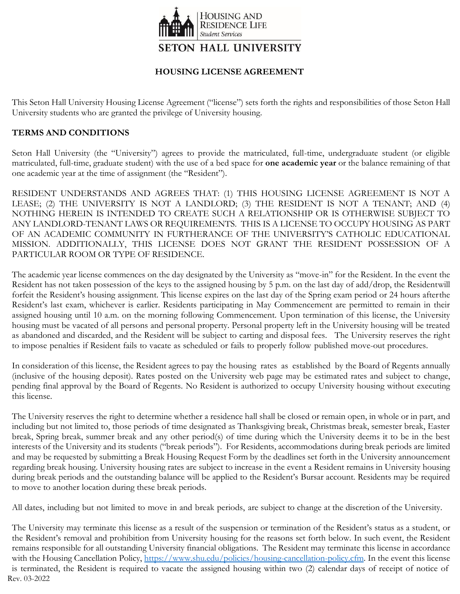

## **HOUSING LICENSE AGREEMENT**

This Seton Hall University Housing License Agreement ("license") sets forth the rights and responsibilities of those Seton Hall University students who are granted the privilege of University housing.

## **TERMS AND CONDITIONS**

Seton Hall University (the "University") agrees to provide the matriculated, full-time, undergraduate student (or eligible matriculated, full-time, graduate student) with the use of a bed space for **one academic year** or the balance remaining of that one academic year at the time of assignment (the "Resident").

RESIDENT UNDERSTANDS AND AGREES THAT: (1) THIS HOUSING LICENSE AGREEMENT IS NOT A LEASE; (2) THE UNIVERSITY IS NOT A LANDLORD; (3) THE RESIDENT IS NOT A TENANT; AND (4) NOTHING HEREIN IS INTENDED TO CREATE SUCH A RELATIONSHIP OR IS OTHERWISE SUBJECT TO ANY LANDLORD-TENANT LAWS OR REQUIREMENTS. THIS IS A LICENSE TO OCCUPY HOUSING AS PART OF AN ACADEMIC COMMUNITY IN FURTHERANCE OF THE UNIVERSITY'S CATHOLIC EDUCATIONAL MISSION. ADDITIONALLY, THIS LICENSE DOES NOT GRANT THE RESIDENT POSSESSION OF A PARTICULAR ROOM OR TYPE OF RESIDENCE.

The academic year license commences on the day designated by the University as "move-in" for the Resident. In the event the Resident has not taken possession of the keys to the assigned housing by 5 p.m. on the last day of add/drop, the Residentwill forfeit the Resident's housing assignment. This license expires on the last day of the Spring exam period or 24 hours afterthe Resident's last exam, whichever is earlier. Residents participating in May Commencement are permitted to remain in their assigned housing until 10 a.m. on the morning following Commencement. Upon termination of this license, the University housing must be vacated of all persons and personal property. Personal property left in the University housing will be treated as abandoned and discarded, and the Resident will be subject to carting and disposal fees. The University reserves the right to impose penalties if Resident fails to vacate as scheduled or fails to properly follow published move-out procedures.

In consideration of this license, the Resident agrees to pay the housing rates as established by the Board of Regents annually (inclusive of the housing deposit). Rates posted on the University web page may be estimated rates and subject to change, pending final approval by the Board of Regents. No Resident is authorized to occupy University housing without executing this license.

The University reserves the right to determine whether a residence hall shall be closed or remain open, in whole or in part, and including but not limited to, those periods of time designated as Thanksgiving break, Christmas break, semester break, Easter break, Spring break, summer break and any other period(s) of time during which the University deems it to be in the best interests of the University and its students ("break periods"). For Residents, accommodations during break periods are limited and may be requested by submitting a Break Housing Request Form by the deadlines set forth in the University announcement regarding break housing. University housing rates are subject to increase in the event a Resident remains in University housing during break periods and the outstanding balance will be applied to the Resident's Bursar account. Residents may be required to move to another location during these break periods.

All dates, including but not limited to move in and break periods, are subject to change at the discretion of the University.

Rev. 03-2022 The University may terminate this license as a result of the suspension or termination of the Resident's status as a student, or the Resident's removal and prohibition from University housing for the reasons set forth below. In such event, the Resident remains responsible for all outstanding University financial obligations. The Resident may terminate this license in accordance with the Housing Cancellation Policy, [https://www.shu.edu/policies/housing-cancellation-policy.cfm.](https://www.shu.edu/policies/housing-cancellation-policy.cfm) In the event this license is terminated, the Resident is required to vacate the assigned housing within two (2) calendar days of receipt of notice of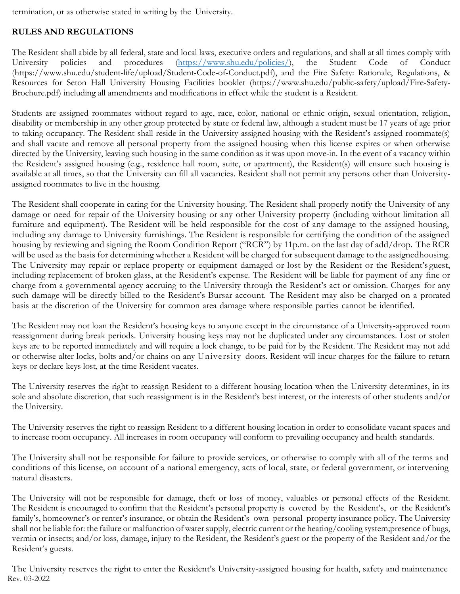termination, or as otherwise stated in writing by the University.

# **RULES AND REGULATIONS**

The Resident shall abide by all federal, state and local laws, executive orders and regulations, and shall at all times comply with University policies and procedures [\(https://www.shu.edu/policies/\)](https://www.shu.edu/policies/), the Student Code of Conduct (http[s://www.shu.edu/student-life/upload/Student-Code-of-Conduct.pdf\),](http://www.shu.edu/student-life/upload/Student-Code-of-Conduct.pdf)) and the Fire Safety: Rationale, Regulations, & Resources for Seton Hall University Housing Facilities booklet (https:/[/www.shu.edu/public-safety/upload/Fire-Safety-](http://www.shu.edu/public-safety/upload/Fire-Safety-)Brochure.pdf) including all amendments and modifications in effect while the student is a Resident.

Students are assigned roommates without regard to age, race, color, national or ethnic origin, sexual orientation, religion, disability or membership in any other group protected by state or federal law, although a student must be 17 years of age prior to taking occupancy. The Resident shall reside in the University-assigned housing with the Resident's assigned roommate(s) and shall vacate and remove all personal property from the assigned housing when this license expires or when otherwise directed by the University, leaving such housing in the same condition as it was upon move-in. In the event of a vacancy within the Resident's assigned housing (e.g., residence hall room, suite, or apartment), the Resident(s) will ensure such housing is available at all times, so that the University can fill all vacancies. Resident shall not permit any persons other than Universityassigned roommates to live in the housing.

The Resident shall cooperate in caring for the University housing. The Resident shall properly notify the University of any damage or need for repair of the University housing or any other University property (including without limitation all furniture and equipment). The Resident will be held responsible for the cost of any damage to the assigned housing, including any damage to University furnishings. The Resident is responsible for certifying the condition of the assigned housing by reviewing and signing the Room Condition Report ("RCR") by 11p.m. on the last day of add/drop. The RCR will be used as the basis for determining whether a Resident will be charged for subsequent damage to the assignedhousing. The University may repair or replace property or equipment damaged or lost by the Resident or the Resident's guest, including replacement of broken glass, at the Resident's expense. The Resident will be liable for payment of any fine or charge from a governmental agency accruing to the University through the Resident's act or omission. Charges for any such damage will be directly billed to the Resident's Bursar account. The Resident may also be charged on a prorated basis at the discretion of the University for common area damage where responsible parties cannot be identified.

The Resident may not loan the Resident's housing keys to anyone except in the circumstance of a University-approved room reassignment during break periods. University housing keys may not be duplicated under any circumstances. Lost or stolen keys are to be reported immediately and will require a lock change, to be paid for by the Resident. The Resident may not add or otherwise alter locks, bolts and/or chains on any University doors. Resident will incur charges for the failure to return keys or declare keys lost, at the time Resident vacates.

The University reserves the right to reassign Resident to a different housing location when the University determines, in its sole and absolute discretion, that such reassignment is in the Resident's best interest, or the interests of other students and/or the University.

The University reserves the right to reassign Resident to a different housing location in order to consolidate vacant spaces and to increase room occupancy. All increases in room occupancy will conform to prevailing occupancy and health standards.

The University shall not be responsible for failure to provide services, or otherwise to comply with all of the terms and conditions of this license, on account of a national emergency, acts of local, state, or federal government, or intervening natural disasters.

The University will not be responsible for damage, theft or loss of money, valuables or personal effects of the Resident. The Resident is encouraged to confirm that the Resident's personal property is covered by the Resident's, or the Resident's family's, homeowner's or renter's insurance, or obtain the Resident's own personal property insurance policy. The University shall not be liable for: the failure or malfunction of water supply, electric current or the heating/cooling system;presence of bugs, vermin or insects; and/or loss, damage, injury to the Resident, the Resident's guest or the property of the Resident and/or the Resident's guests.

Rev. 03-2022 The University reserves the right to enter the Resident's University-assigned housing for health, safety and maintenance